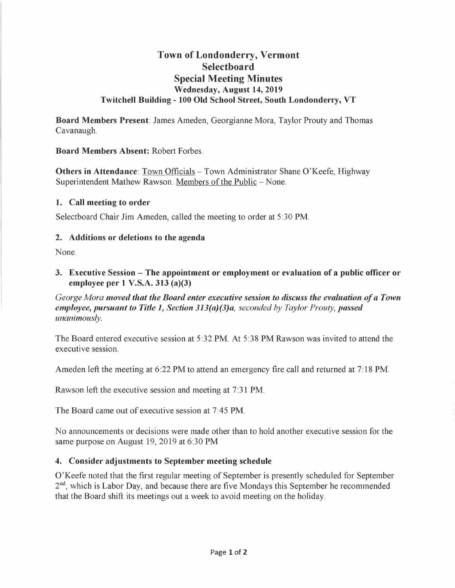# **Town of Londonderry, Vermont Selectboard Special Meeting Minutes Wednesday, August 14, 2019 Twitchell Building - 100 Old School Street, South Londonderry, VT**

**Board Members Present:** James Ameden, Georgianne Mora, Taylor Prouty and Thomas Cavanaugh.

**Board Members Absent:** Robert Forbes.

**Others in Attendance**: Town Officials – Town Administrator Shane O'Keefe, Highway Superintendent Mathew Rawson. Members of the Public - None.

#### **1. Call meeting to order**

Selectboard Chair Jim Ameden, called the meeting to order at 5:30 PM.

#### **2. Additions or deletions to the agenda**

None.

**3. Executive Session - The appointment or employment or evaluation of a public officer or employee per 1 V.S.A. 313 (a)(3)** 

*George Mora moved that the Board enter executive session to discuss the evaluation of a Town employee, pursuant to Title 1, Section 313(a)(3)a, seconded by Taylor Prouty, passed unanimously.* 

The Board entered executive session at 5:32 PM. At 5:38 PM Rawson was invited to attend the executive session.

Ameden left the meeting at 6:22 PM to attend an emergency fire call and returned at 7: 18 PM.

Rawson left the executive session and meeting at 7:31 PM.

The Board came out of executive session at 7:45 PM.

No announcements or decisions were made other than to hold another executive session for the same purpose on August 19, 2019 at 6:30 PM

### **4. Consider adjustments to September meeting schedule**

O'Keefe noted that the first regular meeting of September is presently scheduled for September 2<sup>nd</sup>, which is Labor Day, and because there are five Mondays this September he recommended that the Board shift its meetings out a week to avoid meeting on the holiday.